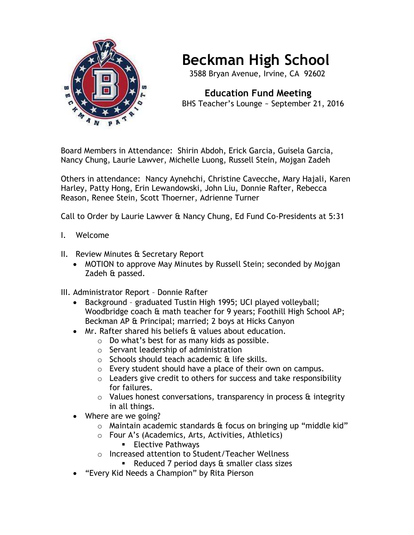

## **Beckman High School**

3588 Bryan Avenue, Irvine, CA 92602

 **Education Fund Meeting** BHS Teacher's Lounge ~ September 21, 2016

Board Members in Attendance: Shirin Abdoh, Erick Garcia, Guisela Garcia, Nancy Chung, Laurie Lawver, Michelle Luong, Russell Stein, Mojgan Zadeh

Others in attendance: Nancy Aynehchi, Christine Cavecche, Mary Hajali, Karen Harley, Patty Hong, Erin Lewandowski, John Liu, Donnie Rafter, Rebecca Reason, Renee Stein, Scott Thoerner, Adrienne Turner

Call to Order by Laurie Lawver & Nancy Chung, Ed Fund Co-Presidents at 5:31

- I. Welcome
- II. Review Minutes & Secretary Report
	- MOTION to approve May Minutes by Russell Stein; seconded by Mojgan Zadeh & passed.
- III. Administrator Report Donnie Rafter
	- Background graduated Tustin High 1995; UCI played volleyball; Woodbridge coach & math teacher for 9 years; Foothill High School AP; Beckman AP & Principal; married; 2 boys at Hicks Canyon
	- Mr. Rafter shared his beliefs & values about education.
		- o Do what's best for as many kids as possible.
		- o Servant leadership of administration
		- $\circ$  Schools should teach academic & life skills.
		- o Every student should have a place of their own on campus.
		- $\circ$  Leaders give credit to others for success and take responsibility for failures.
		- $\circ$  Values honest conversations, transparency in process  $\theta$  integrity in all things.
	- Where are we going?
		- $\circ$  Maintain academic standards & focus on bringing up "middle kid"
		- o Four A's (Academics, Arts, Activities, Athletics)
			- **Elective Pathways**
		- o Increased attention to Student/Teacher Wellness
			- Reduced 7 period days  $\theta$  smaller class sizes
	- "Every Kid Needs a Champion" by Rita Pierson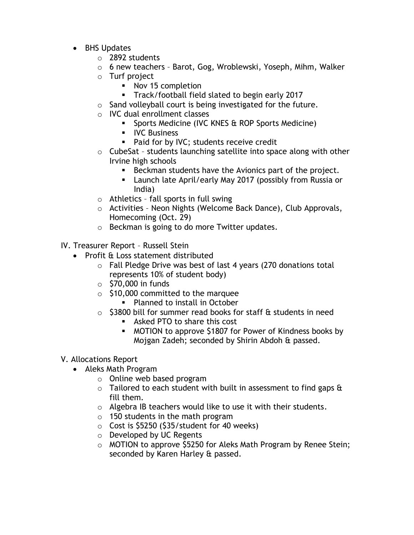- BHS Updates
	- o 2892 students
	- o 6 new teachers Barot, Gog, Wroblewski, Yoseph, Mihm, Walker
	- o Turf project
		- Nov 15 completion
		- **Track/football field slated to begin early 2017**
	- o Sand volleyball court is being investigated for the future.
	- o IVC dual enrollment classes
		- **Sports Medicine (IVC KNES & ROP Sports Medicine)**
		- **IVC Business**
		- **Paid for by IVC; students receive credit**
	- $\circ$  CubeSat students launching satellite into space along with other Irvine high schools
		- Beckman students have the Avionics part of the project.
		- **EXEC** Launch late April/early May 2017 (possibly from Russia or India)
	- $\circ$  Athletics fall sports in full swing
	- o Activities Neon Nights (Welcome Back Dance), Club Approvals, Homecoming (Oct. 29)
	- o Beckman is going to do more Twitter updates.

IV. Treasurer Report – Russell Stein

- Profit & Loss statement distributed
	- o Fall Pledge Drive was best of last 4 years (270 donations total represents 10% of student body)
	- $\circ$  \$70,000 in funds
	- o \$10,000 committed to the marquee
		- Planned to install in October
	- $\circ$  \$3800 bill for summer read books for staff & students in need
		- **Asked PTO to share this cost**
		- MOTION to approve \$1807 for Power of Kindness books by Mojgan Zadeh; seconded by Shirin Abdoh & passed.

## V. Allocations Report

- Aleks Math Program
	- o Online web based program
	- $\circ$  Tailored to each student with built in assessment to find gaps  $\theta$ fill them.
	- o Algebra IB teachers would like to use it with their students.
	- $\circ$  150 students in the math program
	- $\circ$  Cost is \$5250 (\$35/student for 40 weeks)
	- o Developed by UC Regents
	- o MOTION to approve \$5250 for Aleks Math Program by Renee Stein; seconded by Karen Harley & passed.